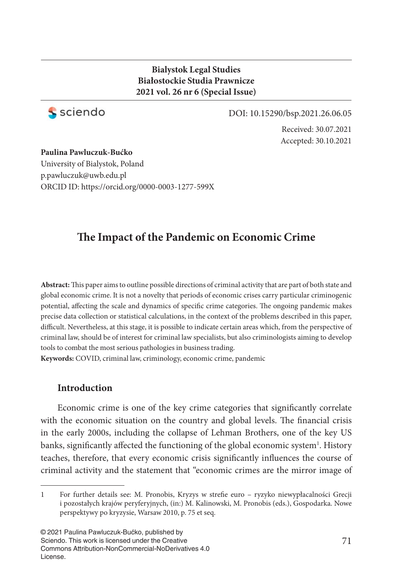# **Bialystok Legal Studies Białostockie Studia Prawnicze 2021 vol. 26 nr 6 (Special Issue)**



DOI: 10.15290/bsp.2021.26.06.05

Received: 30.07.2021 Accepted: 30.10.2021

**Paulina Pawluczuk-Bućko** University of Bialystok, Poland p.pawluczuk@uwb.edu.pl ORCID ID: https://orcid.org/0000-0003-1277-599X

# **The Impact of the Pandemic on Economic Crime**

Abstract: This paper aims to outline possible directions of criminal activity that are part of both state and global economic crime. It is not a novelty that periods of economic crises carry particular criminogenic potential, affecting the scale and dynamics of specific crime categories. The ongoing pandemic makes precise data collection or statistical calculations, in the context of the problems described in this paper, difficult. Nevertheless, at this stage, it is possible to indicate certain areas which, from the perspective of criminal law, should be of interest for criminal law specialists, but also criminologists aiming to develop tools to combat the most serious pathologies in business trading.

**Keywords:** COVID, criminal law, criminology, economic crime, pandemic

### **Introduction**

Economic crime is one of the key crime categories that significantly correlate with the economic situation on the country and global levels. The financial crisis in the early 2000s, including the collapse of Lehman Brothers, one of the key US banks, significantly affected the functioning of the global economic system<sup>1</sup>. History teaches, therefore, that every economic crisis significantly influences the course of criminal activity and the statement that "economic crimes are the mirror image of

<sup>1</sup> For further details see: M. Pronobis, Kryzys w strefi e euro – ryzyko niewypłacalności Grecji i pozostałych krajów peryferyjnych, (in:) M. Kalinowski, M. Pronobis (eds.), Gospodarka. Nowe perspektywy po kryzysie, Warsaw 2010, p. 75 et seq.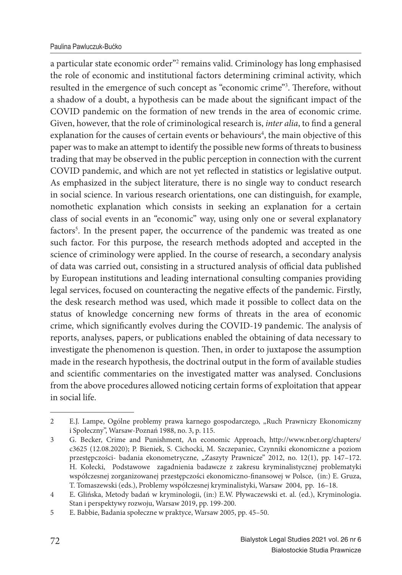### Paulina Pawluczuk-Bućko

a particular state economic order"<sup>2</sup> remains valid. Criminology has long emphasised the role of economic and institutional factors determining criminal activity, which resulted in the emergence of such concept as "economic crime"<sup>3</sup>. Therefore, without a shadow of a doubt, a hypothesis can be made about the significant impact of the COVID pandemic on the formation of new trends in the area of economic crime. Given, however, that the role of criminological research is, *inter alia*, to find a general explanation for the causes of certain events or behaviours<sup>4</sup>, the main objective of this paper was to make an attempt to identify the possible new forms of threats to business trading that may be observed in the public perception in connection with the current COVID pandemic, and which are not yet reflected in statistics or legislative output. As emphasized in the subject literature, there is no single way to conduct research in social science. In various research orientations, one can distinguish, for example, nomothetic explanation which consists in seeking an explanation for a certain class of social events in an "economic" way, using only one or several explanatory factors<sup>5</sup>. In the present paper, the occurrence of the pandemic was treated as one such factor. For this purpose, the research methods adopted and accepted in the science of criminology were applied. In the course of research, a secondary analysis of data was carried out, consisting in a structured analysis of official data published by European institutions and leading international consulting companies providing legal services, focused on counteracting the negative effects of the pandemic. Firstly, the desk research method was used, which made it possible to collect data on the status of knowledge concerning new forms of threats in the area of economic crime, which significantly evolves during the COVID-19 pandemic. The analysis of reports, analyses, papers, or publications enabled the obtaining of data necessary to investigate the phenomenon is question. Then, in order to juxtapose the assumption made in the research hypothesis, the doctrinal output in the form of available studies and scientific commentaries on the investigated matter was analysed. Conclusions from the above procedures allowed noticing certain forms of exploitation that appear in social life.

<sup>2</sup> E.J. Lampe, Ogólne problemy prawa karnego gospodarczego, "Ruch Prawniczy Ekonomiczny i Społeczny", Warsaw-Poznań 1988, no. 3, p. 115.

<sup>3</sup> G. Becker, Crime and Punishment, An economic Approach, http://www.nber.org/chapters/ c3625 (12.08.2020); P. Bieniek, S. Cichocki, M. Szczepaniec, Czynniki ekonomiczne a poziom przestępczości- badania ekonometryczne, "Zaszyty Prawnicze" 2012, no. 12(1), pp. 147-172. H. Kołecki, Podstawowe zagadnienia badawcze z zakresu kryminalistycznej problematyki współczesnej zorganizowanej przestępczości ekonomiczno-finansowej w Polsce, (in:) E. Gruza, T. Tomaszewski (eds.), Problemy współczesnej kryminalistyki, Warsaw 2004, pp. 16–18.

<sup>4</sup> E. Glińska, Metody badań w kryminologii, (in:) E.W. Pływaczewski et. al. (ed.), Kryminologia. Stan i perspektywy rozwoju, Warsaw 2019, pp. 199-200.

<sup>5</sup> E. Babbie, Badania społeczne w praktyce, Warsaw 2005, pp. 45–50.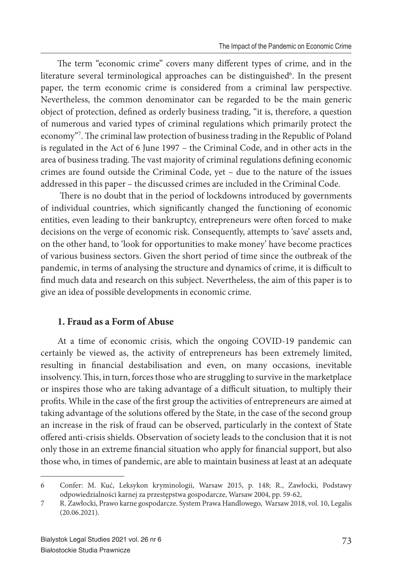The term "economic crime" covers many different types of crime, and in the literature several terminological approaches can be distinguished<sup>6</sup>. In the present paper, the term economic crime is considered from a criminal law perspective. Nevertheless, the common denominator can be regarded to be the main generic object of protection, defined as orderly business trading, "it is, therefore, a question of numerous and varied types of criminal regulations which primarily protect the economy"<sup>7</sup>. The criminal law protection of business trading in the Republic of Poland is regulated in the Act of 6 June 1997 – the Criminal Code, and in other acts in the area of business trading. The vast majority of criminal regulations defining economic crimes are found outside the Criminal Code, yet – due to the nature of the issues addressed in this paper – the discussed crimes are included in the Criminal Code.

There is no doubt that in the period of lockdowns introduced by governments of individual countries, which significantly changed the functioning of economic entities, even leading to their bankruptcy, entrepreneurs were often forced to make decisions on the verge of economic risk. Consequently, attempts to 'save' assets and, on the other hand, to 'look for opportunities to make money' have become practices of various business sectors. Given the short period of time since the outbreak of the pandemic, in terms of analysing the structure and dynamics of crime, it is difficult to find much data and research on this subject. Nevertheless, the aim of this paper is to give an idea of possible developments in economic crime.

## **1. Fraud as a Form of Abuse**

At a time of economic crisis, which the ongoing COVID-19 pandemic can certainly be viewed as, the activity of entrepreneurs has been extremely limited, resulting in financial destabilisation and even, on many occasions, inevitable insolvency. This, in turn, forces those who are struggling to survive in the marketplace or inspires those who are taking advantage of a difficult situation, to multiply their profits. While in the case of the first group the activities of entrepreneurs are aimed at taking advantage of the solutions offered by the State, in the case of the second group an increase in the risk of fraud can be observed, particularly in the context of State offered anti-crisis shields. Observation of society leads to the conclusion that it is not only those in an extreme financial situation who apply for financial support, but also those who, in times of pandemic, are able to maintain business at least at an adequate

<sup>6</sup> Confer: M. Kuć, Leksykon kryminologii, Warsaw 2015, p. 148; R., Zawłocki, Podstawy odpowiedzialności karnej za przestępstwa gospodarcze, Warsaw 2004, pp. 59-62,

<sup>7</sup> R. Zawłocki, Prawo karne gospodarcze. System Prawa Handlowego, Warsaw 2018, vol. 10, Legalis (20.06.2021).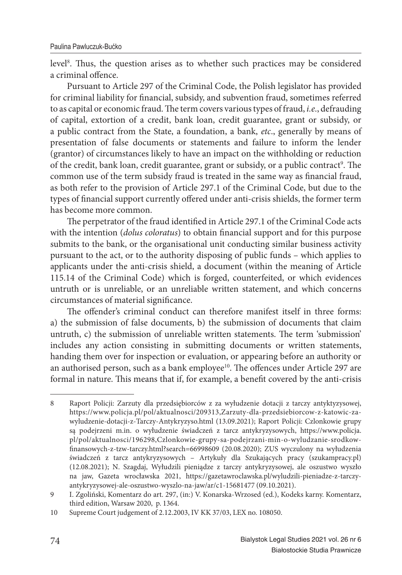level<sup>8</sup>. Thus, the question arises as to whether such practices may be considered a criminal offence

Pursuant to Article 297 of the Criminal Code, the Polish legislator has provided for criminal liability for financial, subsidy, and subvention fraud, sometimes referred to as capital or economic fraud. The term covers various types of fraud, *i.e.*, defrauding of capital, extortion of a credit, bank loan, credit guarantee, grant or subsidy, or a public contract from the State, a foundation, a bank, *etc*., generally by means of presentation of false documents or statements and failure to inform the lender (grantor) of circumstances likely to have an impact on the withholding or reduction of the credit, bank loan, credit guarantee, grant or subsidy, or a public contract<sup>9</sup>. The common use of the term subsidy fraud is treated in the same way as financial fraud, as both refer to the provision of Article 297.1 of the Criminal Code, but due to the types of financial support currently offered under anti-crisis shields, the former term has become more common.

The perpetrator of the fraud identified in Article 297.1 of the Criminal Code acts with the intention (*dolus coloratus*) to obtain financial support and for this purpose submits to the bank, or the organisational unit conducting similar business activity pursuant to the act, or to the authority disposing of public funds – which applies to applicants under the anti-crisis shield, a document (within the meaning of Article 115.14 of the Criminal Code) which is forged, counterfeited, or which evidences untruth or is unreliable, or an unreliable written statement, and which concerns circumstances of material significance.

The offender's criminal conduct can therefore manifest itself in three forms: a) the submission of false documents, b) the submission of documents that claim untruth, c) the submission of unreliable written statements. The term 'submission' includes any action consisting in submitting documents or written statements, handing them over for inspection or evaluation, or appearing before an authority or an authorised person, such as a bank employee<sup>10</sup>. The offences under Article 297 are formal in nature. This means that if, for example, a benefit covered by the anti-crisis

<sup>8</sup> Raport Policji: Zarzuty dla przedsiębiorców z za wyłudzenie dotacji z tarczy antyktyzysowej, https://www.policja.pl/pol/aktualnosci/209313,Zarzuty-dla-przedsiebiorcow-z-katowic-zawyludzenie-dotacji-z-Tarczy-Antykryzyso.html (13.09.2021); Raport Policji: Czlonkowie grupy są podejrzeni m.in. o wyłudzenie świadczeń z tarcz antykryzysowych, https://www.policja. pl/pol/aktualnosci/196298,Czlonkowie-grupy-sa-podejrzani-min-o-wyludzanie-srodkowfinansowych-z-tzw-tarczy.html?search=66998609 (20.08.2020); ZUS wyczulony na wyłudzenia świadczeń z tarcz antykryzysowych – Artykuły dla Szukających pracy (szukampracy.pl) (12.08.2021); N. Szagdaj, Wyłudzili pieniądze z tarczy antykryzysowej, ale oszustwo wyszło na jaw, Gazeta wrocławska 2021, https://gazetawroclawska.pl/wyludzili-pieniadze-z-tarczyantykryzysowej-ale-oszustwo-wyszlo-na-jaw/ar/c1-15681477 (09.10.2021).

<sup>9</sup> I. Zgoliński, Komentarz do art. 297, (in:) V. Konarska-Wrzosed (ed.), Kodeks karny. Komentarz, third edition, Warsaw 2020, p. 1364.

<sup>10</sup> Supreme Court judgement of 2.12.2003, IV KK 37/03, LEX no. 108050.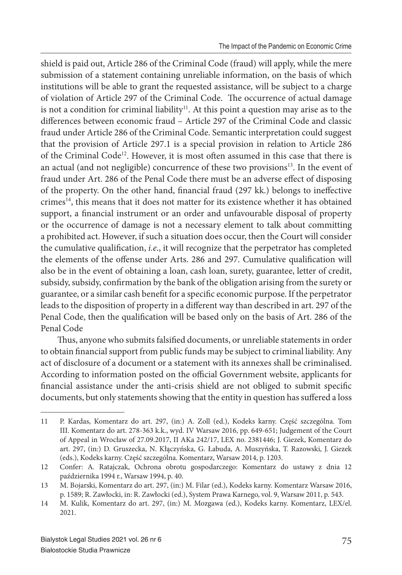shield is paid out, Article 286 of the Criminal Code (fraud) will apply, while the mere submission of a statement containing unreliable information, on the basis of which institutions will be able to grant the requested assistance, will be subject to a charge of violation of Article 297 of the Criminal Code. The occurrence of actual damage is not a condition for criminal liability<sup>11</sup>. At this point a question may arise as to the differences between economic fraud – Article 297 of the Criminal Code and classic fraud under Article 286 of the Criminal Code. Semantic interpretation could suggest that the provision of Article 297.1 is a special provision in relation to Article 286 of the Criminal Code<sup>12</sup>. However, it is most often assumed in this case that there is an actual (and not negligible) concurrence of these two provisions<sup>13</sup>. In the event of fraud under Art. 286 of the Penal Code there must be an adverse effect of disposing of the property. On the other hand, financial fraud (297 kk.) belongs to ineffective crimes<sup>14</sup>, this means that it does not matter for its existence whether it has obtained support, a financial instrument or an order and unfavourable disposal of property or the occurrence of damage is not a necessary element to talk about committing a prohibited act. However, if such a situation does occur, then the Court will consider the cumulative qualification, *i.e.*, it will recognize that the perpetrator has completed the elements of the offense under Arts. 286 and 297. Cumulative qualification will also be in the event of obtaining a loan, cash loan, surety, guarantee, letter of credit, subsidy, subsidy, confirmation by the bank of the obligation arising from the surety or guarantee, or a similar cash benefit for a specific economic purpose. If the perpetrator leads to the disposition of property in a different way than described in art. 297 of the Penal Code, then the qualification will be based only on the basis of Art. 286 of the Penal Code

Thus, anyone who submits falsified documents, or unreliable statements in order to obtain financial support from public funds may be subject to criminal liability. Any act of disclosure of a document or a statement with its annexes shall be criminalised. According to information posted on the official Government website, applicants for financial assistance under the anti-crisis shield are not obliged to submit specific documents, but only statements showing that the entity in question has suffered a loss

<sup>11</sup> P. Kardas, Komentarz do art. 297, (in:) A. Zoll (ed.), Kodeks karny. Część szczególna. Tom III. Komentarz do art. 278-363 k.k., wyd. IV Warsaw 2016, pp. 649-651; Judgement of the Court of Appeal in Wrocław of 27.09.2017, II AKa 242/17, LEX no. 2381446; J. Giezek, Komentarz do art. 297, (in:) D. Gruszecka, N. Kłączyńska, G. Łabuda, A. Muszyńska, T. Razowski, J. Giezek (eds.), Kodeks karny. Część szczególna. Komentarz, Warsaw 2014, p. 1203.

<sup>12</sup> Confer: A. Ratajczak, Ochrona obrotu gospodarczego: Komentarz do ustawy z dnia 12 października 1994 r., Warsaw 1994, p. 40.

<sup>13</sup> M. Bojarski, Komentarz do art. 297, (in:) M. Filar (ed.), Kodeks karny. Komentarz Warsaw 2016, p. 1589; R. Zawłocki, in: R. Zawłocki (ed.), System Prawa Karnego, vol. 9, Warsaw 2011, p. 543.

<sup>14</sup> M. Kulik, Komentarz do art. 297, (in:) M. Mozgawa (ed.), Kodeks karny. Komentarz, LEX/el. 2021.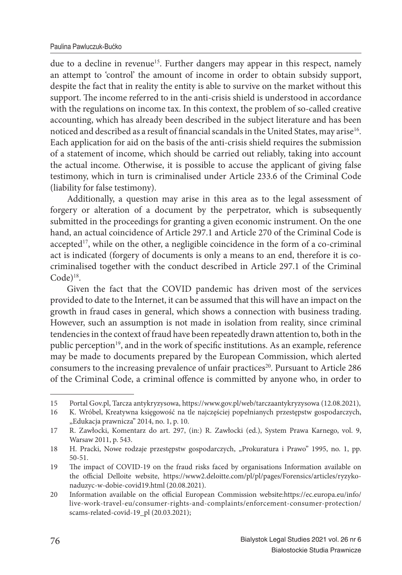due to a decline in revenue<sup>15</sup>. Further dangers may appear in this respect, namely an attempt to 'control' the amount of income in order to obtain subsidy support, despite the fact that in reality the entity is able to survive on the market without this support. The income referred to in the anti-crisis shield is understood in accordance with the regulations on income tax. In this context, the problem of so-called creative accounting, which has already been described in the subject literature and has been noticed and described as a result of financial scandals in the United States, may arise<sup>16</sup>. Each application for aid on the basis of the anti-crisis shield requires the submission of a statement of income, which should be carried out reliably, taking into account the actual income. Otherwise, it is possible to accuse the applicant of giving false testimony, which in turn is criminalised under Article 233.6 of the Criminal Code (liability for false testimony).

Additionally, a question may arise in this area as to the legal assessment of forgery or alteration of a document by the perpetrator, which is subsequently submitted in the proceedings for granting a given economic instrument. On the one hand, an actual coincidence of Article 297.1 and Article 270 of the Criminal Code is accepted<sup>17</sup>, while on the other, a negligible coincidence in the form of a co-criminal act is indicated (forgery of documents is only a means to an end, therefore it is cocriminalised together with the conduct described in Article 297.1 of the Criminal  $Code)$ <sup>18</sup>.

Given the fact that the COVID pandemic has driven most of the services provided to date to the Internet, it can be assumed that this will have an impact on the growth in fraud cases in general, which shows a connection with business trading. However, such an assumption is not made in isolation from reality, since criminal tendencies in the context of fraud have been repeatedly drawn attention to, both in the public perception<sup>19</sup>, and in the work of specific institutions. As an example, reference may be made to documents prepared by the European Commission, which alerted consumers to the increasing prevalence of unfair practices<sup>20</sup>. Pursuant to Article 286 of the Criminal Code, a criminal offence is committed by anyone who, in order to

<sup>15</sup> Portal Gov.pl, Tarcza antykryzysowa, https://www.gov.pl/web/tarczaantykryzysowa (12.08.2021),

<sup>16</sup> K. Wróbel, Kreatywna księgowość na tle najczęściej popełnianych przestępstw gospodarczych, "Edukacja prawnicza" 2014, no. 1, p. 10.

<sup>17</sup> R. Zawłocki, Komentarz do art. 297, (in:) R. Zawłocki (ed.), System Prawa Karnego, vol. 9, Warsaw 2011, p. 543.

<sup>18</sup> H. Pracki, Nowe rodzaje przestępstw gospodarczych, "Prokuratura i Prawo" 1995, no. 1, pp. 50-51.

<sup>19</sup> The impact of COVID-19 on the fraud risks faced by organisations Information available on the official Delloite website, https://www2.deloitte.com/pl/pl/pages/Forensics/articles/ryzykonaduzyc-w-dobie-covid19.html (20.08.2021).

<sup>20</sup> Information available on the official European Commission website:https://ec.europa.eu/info/ live-work-travel-eu/consumer-rights-and-complaints/enforcement-consumer-protection/ scams-related-covid-19 pl (20.03.2021);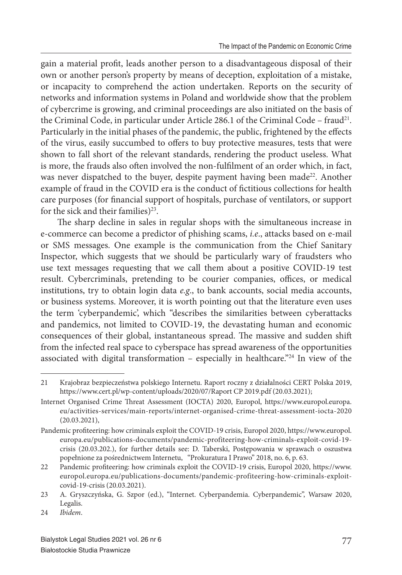gain a material profit, leads another person to a disadvantageous disposal of their own or another person's property by means of deception, exploitation of a mistake, or incapacity to comprehend the action undertaken. Reports on the security of networks and information systems in Poland and worldwide show that the problem of cybercrime is growing, and criminal proceedings are also initiated on the basis of the Criminal Code, in particular under Article 286.1 of the Criminal Code – fraud<sup>21</sup>. Particularly in the initial phases of the pandemic, the public, frightened by the effects of the virus, easily succumbed to offers to buy protective measures, tests that were shown to fall short of the relevant standards, rendering the product useless. What is more, the frauds also often involved the non-fulfilment of an order which, in fact, was never dispatched to the buyer, despite payment having been made<sup>22</sup>. Another example of fraud in the COVID era is the conduct of fictitious collections for health care purposes (for financial support of hospitals, purchase of ventilators, or support for the sick and their families)<sup>23</sup>.

The sharp decline in sales in regular shops with the simultaneous increase in e-commerce can become a predictor of phishing scams, *i.e*., attacks based on e-mail or SMS messages. One example is the communication from the Chief Sanitary Inspector, which suggests that we should be particularly wary of fraudsters who use text messages requesting that we call them about a positive COVID-19 test result. Cybercriminals, pretending to be courier companies, offices, or medical institutions, try to obtain login data *e.g*., to bank accounts, social media accounts, or business systems. Moreover, it is worth pointing out that the literature even uses the term 'cyberpandemic', which "describes the similarities between cyberattacks and pandemics, not limited to COVID-19, the devastating human and economic consequences of their global, instantaneous spread. The massive and sudden shift from the infected real space to cyberspace has spread awareness of the opportunities associated with digital transformation – especially in healthcare."<sup>24</sup> In view of the

<sup>21</sup> Krajobraz bezpieczeństwa polskiego Internetu. Raport roczny z działalności CERT Polska 2019, https://www.cert.pl/wp-content/uploads/2020/07/Raport CP 2019.pdf (20.03.2021);

Internet Organised Crime Threat Assessment (IOCTA) 2020, Europol, https://www.europol.europa. eu/activities-services/main-reports/internet-organised-crime-threat-assessment-iocta-2020 (20.03.2021),

Pandemic profiteering: how criminals exploit the COVID-19 crisis, Europol 2020, https://www.europol. europa.eu/publications-documents/pandemic-profiteering-how-criminals-exploit-covid-19 crisis (20.03.202.), for further details see: D. Taberski, Postępowania w sprawach o oszustwa popełnione za pośrednictwem Internetu, "Prokuratura I Prawo" 2018, no. 6, p. 63.

<sup>22</sup> Pandemic profiteering: how criminals exploit the COVID-19 crisis, Europol 2020, https://www. europol.europa.eu/publications-documents/pandemic-profiteering-how-criminals-exploitcovid-19-crisis (20.03.2021).

<sup>23</sup> A. Gryszczyńska, G. Szpor (ed.), "Internet. Cyberpandemia. Cyberpandemic", Warsaw 2020, Legalis.

<sup>24</sup> *Ibidem*.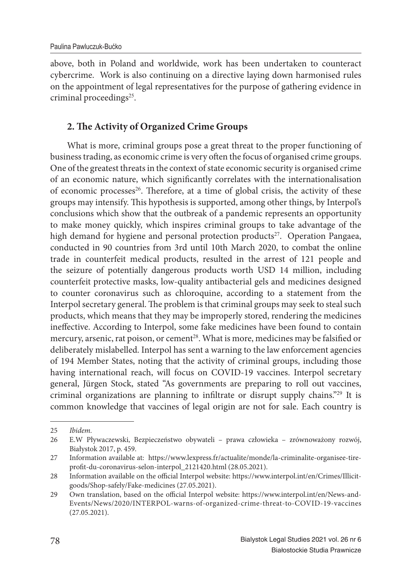above, both in Poland and worldwide, work has been undertaken to counteract cybercrime. Work is also continuing on a directive laying down harmonised rules on the appointment of legal representatives for the purpose of gathering evidence in criminal proceedings<sup>25</sup>.

# **2. The Activity of Organized Crime Groups**

What is more, criminal groups pose a great threat to the proper functioning of business trading, as economic crime is very often the focus of organised crime groups. One of the greatest threats in the context of state economic security is organised crime of an economic nature, which significantly correlates with the internationalisation of economic processes<sup>26</sup>. Therefore, at a time of global crisis, the activity of these groups may intensify. This hypothesis is supported, among other things, by Interpol's conclusions which show that the outbreak of a pandemic represents an opportunity to make money quickly, which inspires criminal groups to take advantage of the high demand for hygiene and personal protection products<sup>27</sup>. Operation Pangaea, conducted in 90 countries from 3rd until 10th March 2020, to combat the online trade in counterfeit medical products, resulted in the arrest of 121 people and the seizure of potentially dangerous products worth USD 14 million, including counterfeit protective masks, low-quality antibacterial gels and medicines designed to counter coronavirus such as chloroquine, according to a statement from the Interpol secretary general. The problem is that criminal groups may seek to steal such products, which means that they may be improperly stored, rendering the medicines ineffective. According to Interpol, some fake medicines have been found to contain mercury, arsenic, rat poison, or cement<sup>28</sup>. What is more, medicines may be falsified or deliberately mislabelled. Interpol has sent a warning to the law enforcement agencies of 194 Member States, noting that the activity of criminal groups, including those having international reach, will focus on COVID-19 vaccines. Interpol secretary general, Jürgen Stock, stated "As governments are preparing to roll out vaccines, criminal organizations are planning to infiltrate or disrupt supply chains."<sup>29</sup> It is common knowledge that vaccines of legal origin are not for sale. Each country is

<sup>25</sup> *Ibidem.*

<sup>26</sup> E.W Pływaczewski, Bezpieczeństwo obywateli – prawa człowieka – zrównoważony rozwój, Białystok 2017, p. 459.

<sup>27</sup> Information available at: https://www.lexpress.fr/actualite/monde/la-criminalite-organisee-tireprofit-du-coronavirus-selon-interpol\_2121420.html (28.05.2021).

<sup>28</sup> Information available on the official Interpol website: https://www.interpol.int/en/Crimes/Illicitgoods/Shop-safely/Fake-medicines (27.05.2021).

<sup>29</sup> Own translation, based on the official Interpol website: https://www.interpol.int/en/News-and-Events/News/2020/INTERPOL-warns-of-organized-crime-threat-to-COVID-19-vaccines (27.05.2021).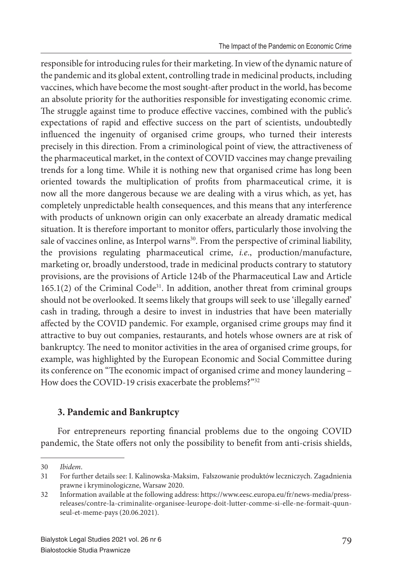responsible for introducing rules for their marketing. In view of the dynamic nature of the pandemic and its global extent, controlling trade in medicinal products, including vaccines, which have become the most sought-after product in the world, has become an absolute priority for the authorities responsible for investigating economic crime. The struggle against time to produce effective vaccines, combined with the public's expectations of rapid and effective success on the part of scientists, undoubtedly influenced the ingenuity of organised crime groups, who turned their interests precisely in this direction. From a criminological point of view, the attractiveness of the pharmaceutical market, in the context of COVID vaccines may change prevailing trends for a long time. While it is nothing new that organised crime has long been oriented towards the multiplication of profits from pharmaceutical crime, it is now all the more dangerous because we are dealing with a virus which, as yet, has completely unpredictable health consequences, and this means that any interference with products of unknown origin can only exacerbate an already dramatic medical situation. It is therefore important to monitor offers, particularly those involving the sale of vaccines online, as Interpol warns<sup>30</sup>. From the perspective of criminal liability, the provisions regulating pharmaceutical crime, *i.e*., production/manufacture, marketing or, broadly understood, trade in medicinal products contrary to statutory provisions, are the provisions of Article 124b of the Pharmaceutical Law and Article  $165.1(2)$  of the Criminal Code<sup>31</sup>. In addition, another threat from criminal groups should not be overlooked. It seems likely that groups will seek to use 'illegally earned' cash in trading, through a desire to invest in industries that have been materially affected by the COVID pandemic. For example, organised crime groups may find it attractive to buy out companies, restaurants, and hotels whose owners are at risk of bankruptcy. The need to monitor activities in the area of organised crime groups, for example, was highlighted by the European Economic and Social Committee during its conference on "The economic impact of organised crime and money laundering – How does the COVID-19 crisis exacerbate the problems?"<sup>32</sup>

# **3. Pandemic and Bankruptcy**

For entrepreneurs reporting financial problems due to the ongoing COVID pandemic, the State offers not only the possibility to benefit from anti-crisis shields,

<sup>30</sup> *Ibidem*.

<sup>31</sup> For further details see: I. Kalinowska-Maksim, Fałszowanie produktów leczniczych. Zagadnienia prawne i kryminologiczne, Warsaw 2020.

<sup>32</sup> Information available at the following address: https://www.eesc.europa.eu/fr/news-media/pressreleases/contre-la-criminalite-organisee-leurope-doit-lutter-comme-si-elle-ne-formait-quunseul-et-meme-pays (20.06.2021).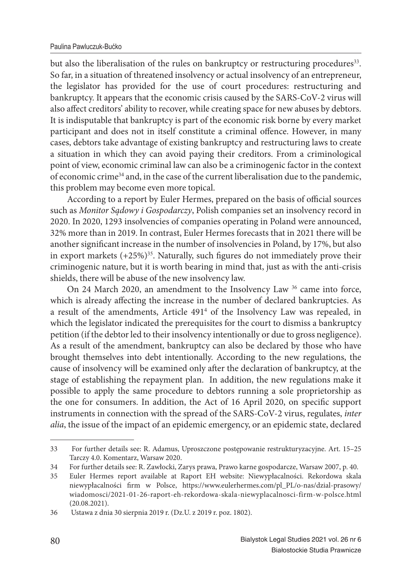#### Paulina Pawluczuk-Bućko

but also the liberalisation of the rules on bankruptcy or restructuring procedures<sup>33</sup>. So far, in a situation of threatened insolvency or actual insolvency of an entrepreneur, the legislator has provided for the use of court procedures: restructuring and bankruptcy. It appears that the economic crisis caused by the SARS-CoV-2 virus will also affect creditors' ability to recover, while creating space for new abuses by debtors. It is indisputable that bankruptcy is part of the economic risk borne by every market participant and does not in itself constitute a criminal offence. However, in many cases, debtors take advantage of existing bankruptcy and restructuring laws to create a situation in which they can avoid paying their creditors. From a criminological point of view, economic criminal law can also be a criminogenic factor in the context of economic crime $34$  and, in the case of the current liberalisation due to the pandemic, this problem may become even more topical.

According to a report by Euler Hermes, prepared on the basis of official sources such as *Monitor Sądowy i Gospodarczy*, Polish companies set an insolvency record in 2020. In 2020, 1293 insolvencies of companies operating in Poland were announced, 32% more than in 2019. In contrast, Euler Hermes forecasts that in 2021 there will be another significant increase in the number of insolvencies in Poland, by 17%, but also in export markets  $(+25\%)^{35}$ . Naturally, such figures do not immediately prove their criminogenic nature, but it is worth bearing in mind that, just as with the anti-crisis shields, there will be abuse of the new insolvency law.

On 24 March 2020, an amendment to the Insolvency Law <sup>36</sup> came into force, which is already affecting the increase in the number of declared bankruptcies. As a result of the amendments, Article 491<sup>4</sup> of the Insolvency Law was repealed, in which the legislator indicated the prerequisites for the court to dismiss a bankruptcy petition (if the debtor led to their insolvency intentionally or due to gross negligence). As a result of the amendment, bankruptcy can also be declared by those who have brought themselves into debt intentionally. According to the new regulations, the cause of insolvency will be examined only after the declaration of bankruptcy, at the stage of establishing the repayment plan. In addition, the new regulations make it possible to apply the same procedure to debtors running a sole proprietorship as the one for consumers. In addition, the Act of 16 April 2020, on specific support instruments in connection with the spread of the SARS-CoV-2 virus, regulates, *inter alia*, the issue of the impact of an epidemic emergency, or an epidemic state, declared

<sup>33</sup> For further details see: R. Adamus, Uproszczone postępowanie restrukturyzacyjne. Art. 15–25 Tarczy 4.0. Komentarz, Warsaw 2020.

<sup>34</sup> For further details see: R. Zawłocki, Zarys prawa, Prawo karne gospodarcze, Warsaw 2007, p. 40.

<sup>35</sup> Euler Hermes report available at Raport EH website: Niewypłacalności. Rekordowa skala niewypłacalności firm w Polsce, https://www.eulerhermes.com/pl\_PL/o-nas/dzial-prasowy/ wiadomosci/2021-01-26-raport-eh-rekordowa-skala-niewyplacalnosci-firm-w-polsce.html (20.08.2021).

<sup>36</sup> Ustawa z dnia 30 sierpnia 2019 r. (Dz.U. z 2019 r. poz. 1802).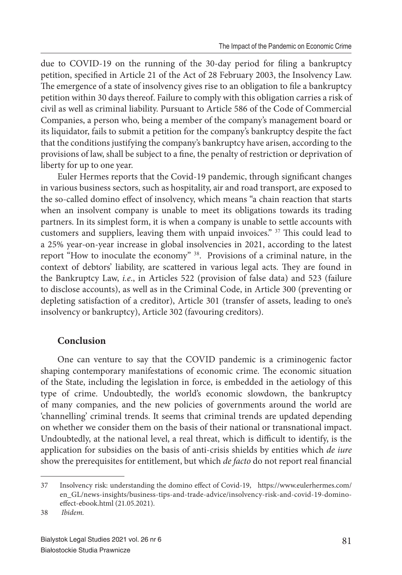due to COVID-19 on the running of the 30-day period for filing a bankruptcy petition, specified in Article 21 of the Act of 28 February 2003, the Insolvency Law. The emergence of a state of insolvency gives rise to an obligation to file a bankruptcy petition within 30 days thereof. Failure to comply with this obligation carries a risk of civil as well as criminal liability. Pursuant to Article 586 of the Code of Commercial Companies, a person who, being a member of the company's management board or its liquidator, fails to submit a petition for the company's bankruptcy despite the fact that the conditions justifying the company's bankruptcy have arisen, according to the provisions of law, shall be subject to a fine, the penalty of restriction or deprivation of liberty for up to one year.

Euler Hermes reports that the Covid-19 pandemic, through significant changes in various business sectors, such as hospitality, air and road transport, are exposed to the so-called domino effect of insolvency, which means "a chain reaction that starts when an insolvent company is unable to meet its obligations towards its trading partners. In its simplest form, it is when a company is unable to settle accounts with customers and suppliers, leaving them with unpaid invoices." <sup>37</sup> This could lead to a 25% year-on-year increase in global insolvencies in 2021, according to the latest report "How to inoculate the economy" <sup>38</sup>. Provisions of a criminal nature, in the context of debtors' liability, are scattered in various legal acts. They are found in the Bankruptcy Law, *i.e*., in Articles 522 (provision of false data) and 523 (failure to disclose accounts), as well as in the Criminal Code, in Article 300 (preventing or depleting satisfaction of a creditor), Article 301 (transfer of assets, leading to one's insolvency or bankruptcy), Article 302 (favouring creditors).

## **Conclusion**

One can venture to say that the COVID pandemic is a criminogenic factor shaping contemporary manifestations of economic crime. The economic situation of the State, including the legislation in force, is embedded in the aetiology of this type of crime. Undoubtedly, the world's economic slowdown, the bankruptcy of many companies, and the new policies of governments around the world are 'channelling' criminal trends. It seems that criminal trends are updated depending on whether we consider them on the basis of their national or transnational impact. Undoubtedly, at the national level, a real threat, which is difficult to identify, is the application for subsidies on the basis of anti-crisis shields by entities which *de iure* show the prerequisites for entitlement, but which *de facto* do not report real financial

<sup>37</sup> Insolvency risk: understanding the domino effect of Covid-19, https://www.eulerhermes.com/ en\_GL/news-insights/business-tips-and-trade-advice/insolvency-risk-and-covid-19-dominoeffect-ebook.html (21.05.2021).

<sup>38</sup> *Ibidem.*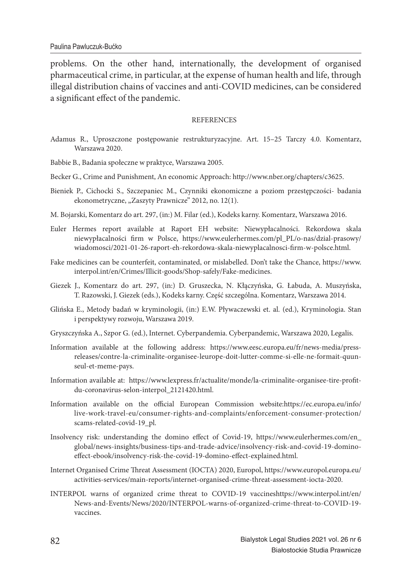problems. On the other hand, internationally, the development of organised pharmaceutical crime, in particular, at the expense of human health and life, through illegal distribution chains of vaccines and anti-COVID medicines, can be considered a significant effect of the pandemic.

#### **REFERENCES**

- Adamus R., Uproszczone postępowanie restrukturyzacyjne. Art. 15–25 Tarczy 4.0. Komentarz, Warszawa 2020.
- Babbie B., Badania społeczne w praktyce, Warszawa 2005.
- Becker G., Crime and Punishment, An economic Approach: http://www.nber.org/chapters/c3625.
- Bieniek P., Cichocki S., Szczepaniec M., Czynniki ekonomiczne a poziom przestępczości- badania ekonometryczne, "Zaszyty Prawnicze" 2012, no. 12(1).
- M. Bojarski, Komentarz do art. 297, (in:) M. Filar (ed.), Kodeks karny. Komentarz, Warszawa 2016.
- Euler Hermes report available at Raport EH website: Niewypłacalności. Rekordowa skala niewypłacalności firm w Polsce, https://www.eulerhermes.com/pl\_PL/o-nas/dzial-prasowy/ wiadomosci/2021-01-26-raport-eh-rekordowa-skala-niewyplacalnosci-firm-w-polsce.html.
- Fake medicines can be counterfeit, contaminated, or mislabelled. Don't take the Chance, https://www. interpol.int/en/Crimes/Illicit-goods/Shop-safely/Fake-medicines.
- Giezek J., Komentarz do art. 297, (in:) D. Gruszecka, N. Kłączyńska, G. Łabuda, A. Muszyńska, T. Razowski, J. Giezek (eds.), Kodeks karny. Część szczególna. Komentarz, Warszawa 2014.
- Glińska E., Metody badań w kryminologii, (in:) E.W. Pływaczewski et. al. (ed.), Kryminologia. Stan i perspektywy rozwoju, Warszawa 2019.
- Gryszczyńska A., Szpor G. (ed.), Internet. Cyberpandemia. Cyberpandemic, Warszawa 2020, Legalis.
- Information available at the following address: https://www.eesc.europa.eu/fr/news-media/pressreleases/contre-la-criminalite-organisee-leurope-doit-lutter-comme-si-elle-ne-formait-quunseul-et-meme-pays.
- Information available at: https://www.lexpress.fr/actualite/monde/la-criminalite-organisee-tire-profitdu-coronavirus-selon-interpol\_2121420.html.
- Information available on the official European Commission website:https://ec.europa.eu/info/ live-work-travel-eu/consumer-rights-and-complaints/enforcement-consumer-protection/ scams-related-covid-19\_pl.
- Insolvency risk: understanding the domino effect of Covid-19, https://www.eulerhermes.com/en\_ global/news-insights/business-tips-and-trade-advice/insolvency-risk-and-covid-19-dominoeffect-ebook/insolvency-risk-the-covid-19-domino-effect-explained.html.
- Internet Organised Crime Threat Assessment (IOCTA) 2020, Europol, https://www.europol.europa.eu/ activities-services/main-reports/internet-organised-crime-threat-assessment-iocta-2020.
- INTERPOL warns of organized crime threat to COVID-19 vaccineshttps://www.interpol.int/en/ News-and-Events/News/2020/INTERPOL-warns-of-organized-crime-threat-to-COVID-19 vaccines.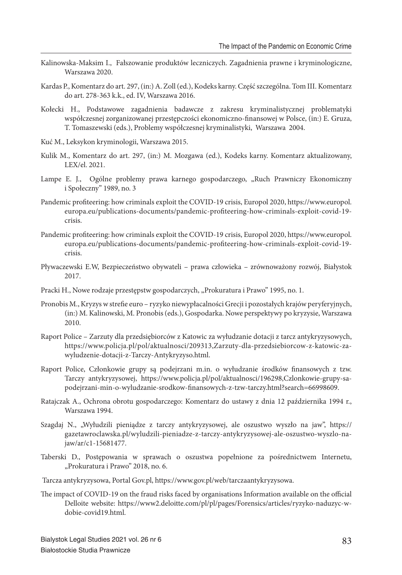- Kalinowska-Maksim I., Fałszowanie produktów leczniczych. Zagadnienia prawne i kryminologiczne, Warszawa 2020.
- Kardas P., Komentarz do art. 297, (in:) A. Zoll (ed.), Kodeks karny. Część szczególna. Tom III. Komentarz do art. 278-363 k.k., ed. IV, Warszawa 2016.
- Kołecki H., Podstawowe zagadnienia badawcze z zakresu kryminalistycznej problematyki współczesnej zorganizowanej przestępczości ekonomiczno-finansowej w Polsce, (in:) E. Gruza, T. Tomaszewski (eds.), Problemy współczesnej kryminalistyki, Warszawa 2004.
- Kuć M., Leksykon kryminologii, Warszawa 2015.
- Kulik M., Komentarz do art. 297, (in:) M. Mozgawa (ed.), Kodeks karny. Komentarz aktualizowany, LEX/el. 2021.
- Lampe E. J., Ogólne problemy prawa karnego gospodarczego, "Ruch Prawniczy Ekonomiczny i Społeczny" 1989, no. 3
- Pandemic profiteering: how criminals exploit the COVID-19 crisis, Europol 2020, https://www.europol. europa.eu/publications-documents/pandemic-profi teering-how-criminals-exploit-covid-19 crisis.
- Pandemic profiteering: how criminals exploit the COVID-19 crisis, Europol 2020, https://www.europol. europa.eu/publications-documents/pandemic-profi teering-how-criminals-exploit-covid-19 crisis.
- Pływaczewski E.W, Bezpieczeństwo obywateli prawa człowieka zrównoważony rozwój, Białystok 2017.
- Pracki H., Nowe rodzaje przestępstw gospodarczych, "Prokuratura i Prawo" 1995, no. 1.
- Pronobis M., Kryzys w strefie euro ryzyko niewypłacalności Grecji i pozostałych krajów peryferyjnych, (in:) M. Kalinowski, M. Pronobis (eds.), Gospodarka. Nowe perspektywy po kryzysie, Warszawa 2010.
- Raport Police Zarzuty dla przedsiębiorców z Katowic za wyłudzanie dotacji z tarcz antykryzysowych, https://www.policja.pl/pol/aktualnosci/209313,Zarzuty-dla-przedsiebiorcow-z-katowic-zawyludzenie-dotacji-z-Tarczy-Antykryzyso.html.
- Raport Police, Członkowie grupy są podejrzani m.in. o wyłudzanie środków finansowych z tzw. Tarczy antykryzysowej, https://www.policja.pl/pol/aktualnosci/196298,Czlonkowie-grupy-sapodejrzani-min-o-wyludzanie-srodkow-finansowych-z-tzw-tarczy.html?search=66998609.
- Ratajczak A., Ochrona obrotu gospodarczego: Komentarz do ustawy z dnia 12 października 1994 r., Warszawa 1994.
- Szagdaj N., "Wyłudzili pieniądze z tarczy antykryzysowej, ale oszustwo wyszło na jaw", https:// gazetawroclawska.pl/wyludzili-pieniadze-z-tarczy-antykryzysowej-ale-oszustwo-wyszlo-najaw/ar/c1-15681477.
- Taberski D., Postępowania w sprawach o oszustwa popełnione za pośrednictwem Internetu, "Prokuratura i Prawo" 2018, no. 6.
- Tarcza antykryzysowa, Portal Gov.pl, https://www.gov.pl/web/tarczaantykryzysowa.
- The impact of COVID-19 on the fraud risks faced by organisations Information available on the official Delloite website: https://www2.deloitte.com/pl/pl/pages/Forensics/articles/ryzyko-naduzyc-wdobie-covid19.html.